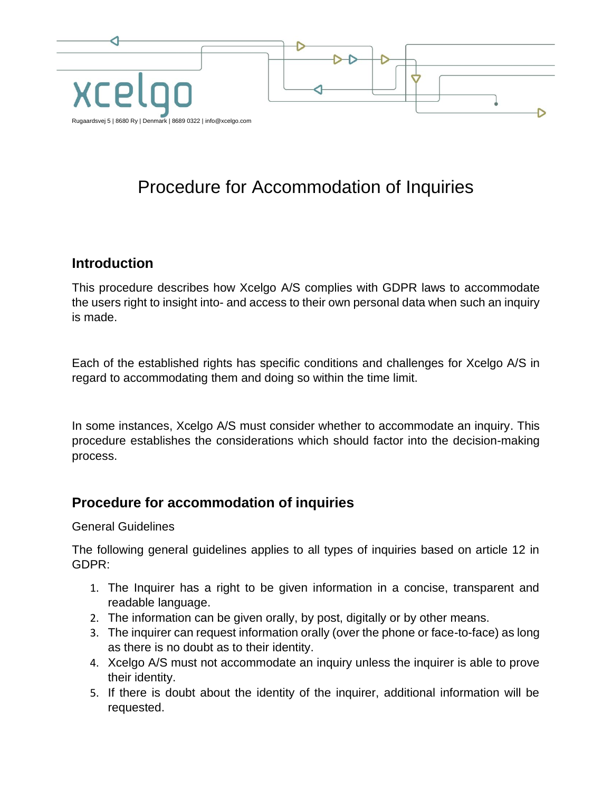

# Procedure for Accommodation of Inquiries

#### **Introduction**

This procedure describes how Xcelgo A/S complies with GDPR laws to accommodate the users right to insight into- and access to their own personal data when such an inquiry is made.

Each of the established rights has specific conditions and challenges for Xcelgo A/S in regard to accommodating them and doing so within the time limit.

In some instances, Xcelgo A/S must consider whether to accommodate an inquiry. This procedure establishes the considerations which should factor into the decision-making process.

#### **Procedure for accommodation of inquiries**

#### General Guidelines

The following general guidelines applies to all types of inquiries based on article 12 in GDPR:

- 1. The Inquirer has a right to be given information in a concise, transparent and readable language.
- 2. The information can be given orally, by post, digitally or by other means.
- 3. The inquirer can request information orally (over the phone or face-to-face) as long as there is no doubt as to their identity.
- 4. Xcelgo A/S must not accommodate an inquiry unless the inquirer is able to prove their identity.
- 5. If there is doubt about the identity of the inquirer, additional information will be requested.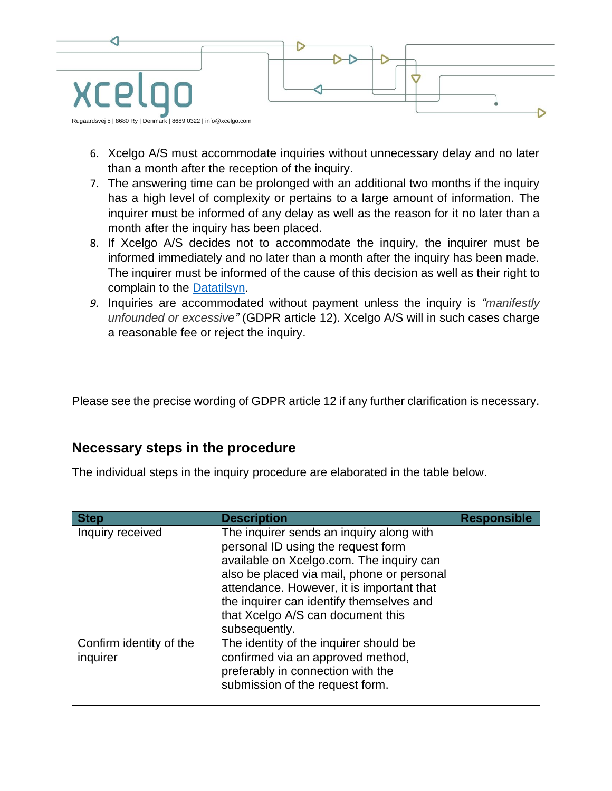

- 6. Xcelgo A/S must accommodate inquiries without unnecessary delay and no later than a month after the reception of the inquiry.
- 7. The answering time can be prolonged with an additional two months if the inquiry has a high level of complexity or pertains to a large amount of information. The inquirer must be informed of any delay as well as the reason for it no later than a month after the inquiry has been placed.
- 8. If Xcelgo A/S decides not to accommodate the inquiry, the inquirer must be informed immediately and no later than a month after the inquiry has been made. The inquirer must be informed of the cause of this decision as well as their right to complain to the [Datatilsyn.](https://www.datatilsynet.dk/)
- *9.* Inquiries are accommodated without payment unless the inquiry is *"manifestly unfounded or excessive"* (GDPR article 12). Xcelgo A/S will in such cases charge a reasonable fee or reject the inquiry.

Please see the precise wording of GDPR article 12 if any further clarification is necessary.

#### **Necessary steps in the procedure**

The individual steps in the inquiry procedure are elaborated in the table below.

| <b>Step</b>                         | <b>Description</b>                                                                                                                                                                                                                                                                                                      | <b>Responsible</b> |
|-------------------------------------|-------------------------------------------------------------------------------------------------------------------------------------------------------------------------------------------------------------------------------------------------------------------------------------------------------------------------|--------------------|
| Inquiry received                    | The inquirer sends an inquiry along with<br>personal ID using the request form<br>available on Xcelgo.com. The inquiry can<br>also be placed via mail, phone or personal<br>attendance. However, it is important that<br>the inquirer can identify themselves and<br>that Xcelgo A/S can document this<br>subsequently. |                    |
| Confirm identity of the<br>inquirer | The identity of the inquirer should be<br>confirmed via an approved method,<br>preferably in connection with the<br>submission of the request form.                                                                                                                                                                     |                    |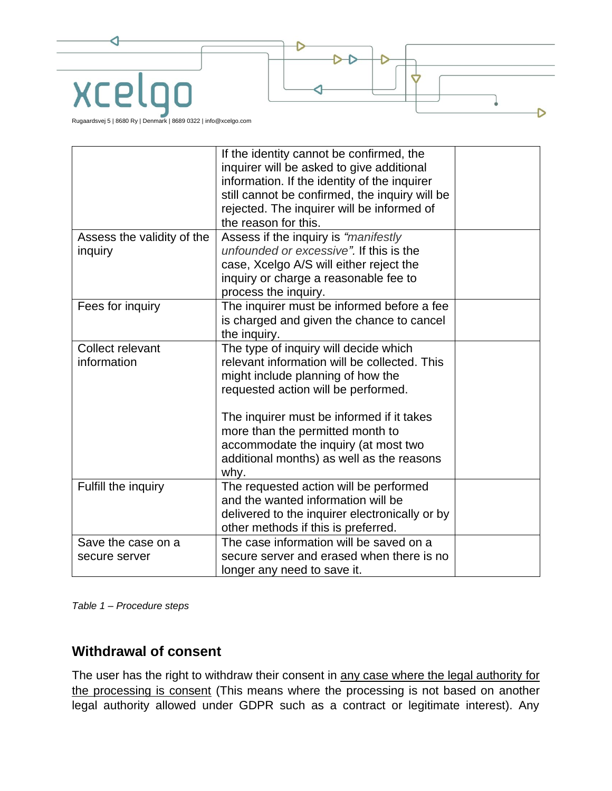

|                            | If the identity cannot be confirmed, the<br>inquirer will be asked to give additional<br>information. If the identity of the inquirer<br>still cannot be confirmed, the inquiry will be<br>rejected. The inquirer will be informed of<br>the reason for this. |  |
|----------------------------|---------------------------------------------------------------------------------------------------------------------------------------------------------------------------------------------------------------------------------------------------------------|--|
| Assess the validity of the | Assess if the inquiry is "manifestly                                                                                                                                                                                                                          |  |
| inquiry                    | unfounded or excessive". If this is the                                                                                                                                                                                                                       |  |
|                            | case, Xcelgo A/S will either reject the                                                                                                                                                                                                                       |  |
|                            | inquiry or charge a reasonable fee to                                                                                                                                                                                                                         |  |
|                            | process the inquiry.                                                                                                                                                                                                                                          |  |
| Fees for inquiry           | The inquirer must be informed before a fee                                                                                                                                                                                                                    |  |
|                            | is charged and given the chance to cancel                                                                                                                                                                                                                     |  |
|                            | the inquiry.                                                                                                                                                                                                                                                  |  |
| Collect relevant           | The type of inquiry will decide which                                                                                                                                                                                                                         |  |
| information                | relevant information will be collected. This                                                                                                                                                                                                                  |  |
|                            | might include planning of how the                                                                                                                                                                                                                             |  |
|                            | requested action will be performed.                                                                                                                                                                                                                           |  |
|                            | The inquirer must be informed if it takes                                                                                                                                                                                                                     |  |
|                            | more than the permitted month to                                                                                                                                                                                                                              |  |
|                            | accommodate the inquiry (at most two                                                                                                                                                                                                                          |  |
|                            | additional months) as well as the reasons                                                                                                                                                                                                                     |  |
|                            | why.                                                                                                                                                                                                                                                          |  |
| Fulfill the inquiry        | The requested action will be performed                                                                                                                                                                                                                        |  |
|                            | and the wanted information will be                                                                                                                                                                                                                            |  |
|                            | delivered to the inquirer electronically or by                                                                                                                                                                                                                |  |
|                            | other methods if this is preferred.                                                                                                                                                                                                                           |  |
| Save the case on a         | The case information will be saved on a                                                                                                                                                                                                                       |  |
| secure server              | secure server and erased when there is no                                                                                                                                                                                                                     |  |
|                            | longer any need to save it.                                                                                                                                                                                                                                   |  |

*Table 1 – Procedure steps*

#### **Withdrawal of consent**

The user has the right to withdraw their consent in any case where the legal authority for the processing is consent (This means where the processing is not based on another legal authority allowed under GDPR such as a contract or legitimate interest). Any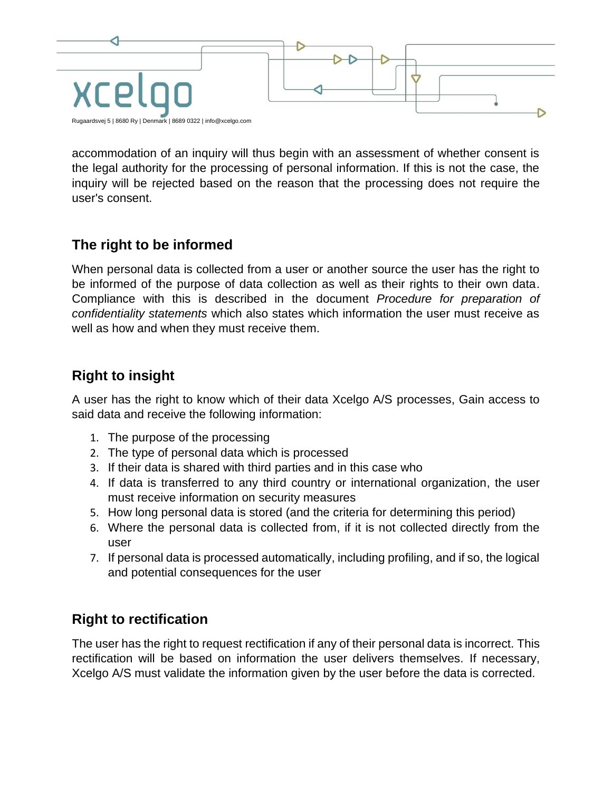

accommodation of an inquiry will thus begin with an assessment of whether consent is the legal authority for the processing of personal information. If this is not the case, the inquiry will be rejected based on the reason that the processing does not require the user's consent.

## **The right to be informed**

When personal data is collected from a user or another source the user has the right to be informed of the purpose of data collection as well as their rights to their own data. Compliance with this is described in the document *Procedure for preparation of confidentiality statements* which also states which information the user must receive as well as how and when they must receive them.

## **Right to insight**

A user has the right to know which of their data Xcelgo A/S processes, Gain access to said data and receive the following information:

- 1. The purpose of the processing
- 2. The type of personal data which is processed
- 3. If their data is shared with third parties and in this case who
- 4. If data is transferred to any third country or international organization, the user must receive information on security measures
- 5. How long personal data is stored (and the criteria for determining this period)
- 6. Where the personal data is collected from, if it is not collected directly from the user
- 7. If personal data is processed automatically, including profiling, and if so, the logical and potential consequences for the user

## **Right to rectification**

The user has the right to request rectification if any of their personal data is incorrect. This rectification will be based on information the user delivers themselves. If necessary, Xcelgo A/S must validate the information given by the user before the data is corrected.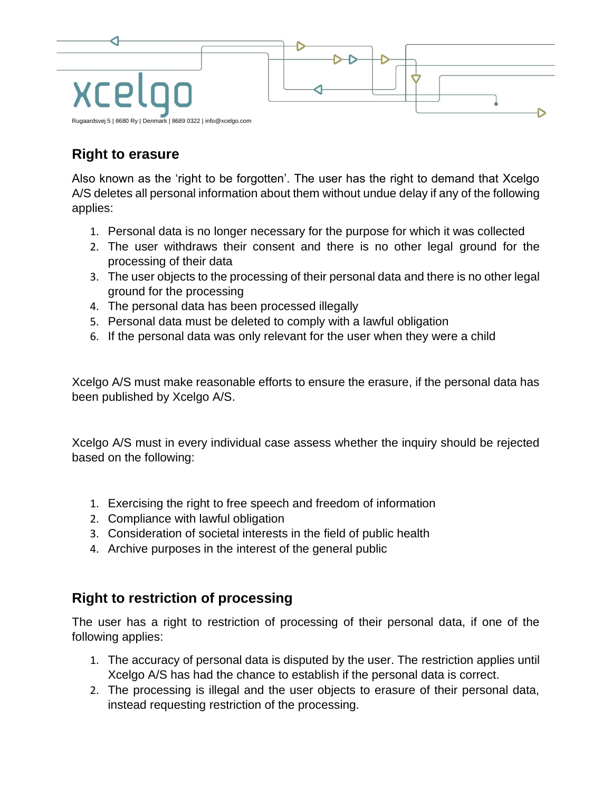

## **Right to erasure**

Also known as the 'right to be forgotten'. The user has the right to demand that Xcelgo A/S deletes all personal information about them without undue delay if any of the following applies:

- 1. Personal data is no longer necessary for the purpose for which it was collected
- 2. The user withdraws their consent and there is no other legal ground for the processing of their data
- 3. The user objects to the processing of their personal data and there is no other legal ground for the processing
- 4. The personal data has been processed illegally
- 5. Personal data must be deleted to comply with a lawful obligation
- 6. If the personal data was only relevant for the user when they were a child

Xcelgo A/S must make reasonable efforts to ensure the erasure, if the personal data has been published by Xcelgo A/S.

Xcelgo A/S must in every individual case assess whether the inquiry should be rejected based on the following:

- 1. Exercising the right to free speech and freedom of information
- 2. Compliance with lawful obligation
- 3. Consideration of societal interests in the field of public health
- 4. Archive purposes in the interest of the general public

#### **Right to restriction of processing**

The user has a right to restriction of processing of their personal data, if one of the following applies:

- 1. The accuracy of personal data is disputed by the user. The restriction applies until Xcelgo A/S has had the chance to establish if the personal data is correct.
- 2. The processing is illegal and the user objects to erasure of their personal data, instead requesting restriction of the processing.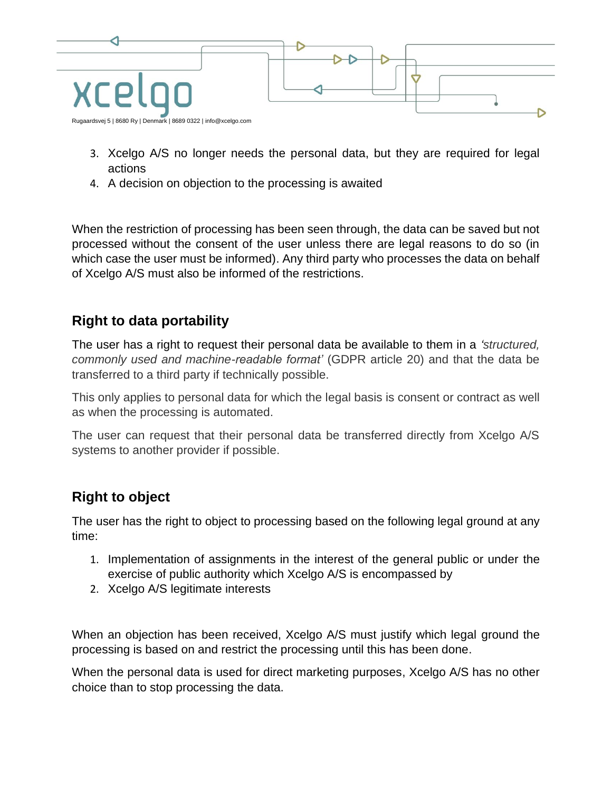

- 3. Xcelgo A/S no longer needs the personal data, but they are required for legal actions
- 4. A decision on objection to the processing is awaited

When the restriction of processing has been seen through, the data can be saved but not processed without the consent of the user unless there are legal reasons to do so (in which case the user must be informed). Any third party who processes the data on behalf of Xcelgo A/S must also be informed of the restrictions.

#### **Right to data portability**

The user has a right to request their personal data be available to them in a *'structured, commonly used and machine-readable format'* (GDPR article 20) and that the data be transferred to a third party if technically possible.

This only applies to personal data for which the legal basis is consent or contract as well as when the processing is automated.

The user can request that their personal data be transferred directly from Xcelgo A/S systems to another provider if possible.

## **Right to object**

The user has the right to object to processing based on the following legal ground at any time:

- 1. Implementation of assignments in the interest of the general public or under the exercise of public authority which Xcelgo A/S is encompassed by
- 2. Xcelgo A/S legitimate interests

When an objection has been received, Xcelgo A/S must justify which legal ground the processing is based on and restrict the processing until this has been done.

When the personal data is used for direct marketing purposes, Xcelgo A/S has no other choice than to stop processing the data.